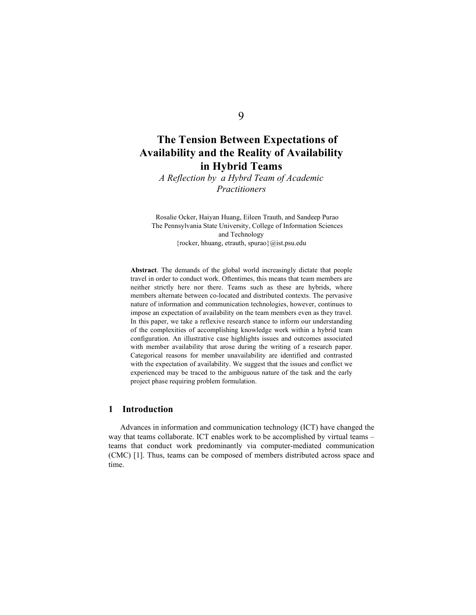# **The Tension Between Expectations of Availability and the Reality of Availability in Hybrid Teams**

*A Reflection by a Hybrd Team of Academic Practitioners*

Rosalie Ocker, Haiyan Huang, Eileen Trauth, and Sandeep Purao The Pennsylvania State University, College of Information Sciences and Technology {rocker, hhuang, etrauth, spurao}@ist.psu.edu

**Abstract**. The demands of the global world increasingly dictate that people travel in order to conduct work. Oftentimes, this means that team members are neither strictly here nor there. Teams such as these are hybrids, where members alternate between co-located and distributed contexts. The pervasive nature of information and communication technologies, however, continues to impose an expectation of availability on the team members even as they travel. In this paper, we take a reflexive research stance to inform our understanding of the complexities of accomplishing knowledge work within a hybrid team configuration. An illustrative case highlights issues and outcomes associated with member availability that arose during the writing of a research paper. Categorical reasons for member unavailability are identified and contrasted with the expectation of availability. We suggest that the issues and conflict we experienced may be traced to the ambiguous nature of the task and the early project phase requiring problem formulation.

# **1 Introduction**

Advances in information and communication technology (ICT) have changed the way that teams collaborate. ICT enables work to be accomplished by virtual teams – teams that conduct work predominantly via computer-mediated communication (CMC) [1]. Thus, teams can be composed of members distributed across space and time.

9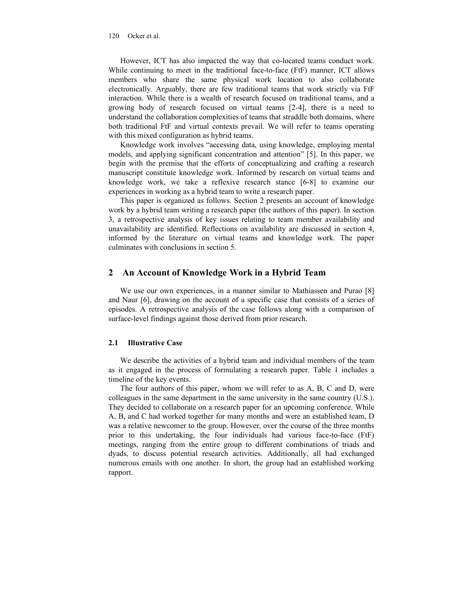However, ICT has also impacted the way that co-located teams conduct work. While continuing to meet in the traditional face-to-face (FtF) manner, ICT allows members who share the same physical work location to also collaborate electronically. Arguably, there are few traditional teams that work strictly via FtF interaction. While there is a wealth of research focused on traditional teams, and a growing body of research focused on virtual teams [2-4], there is a need to understand the collaboration complexities of teams that straddle both domains, where both traditional FtF and virtual contexts prevail. We will refer to teams operating with this mixed configuration as hybrid teams.

Knowledge work involves "accessing data, using knowledge, employing mental models, and applying significant concentration and attention" [5]. In this paper, we begin with the premise that the efforts of conceptualizing and crafting a research manuscript constitute knowledge work. Informed by research on virtual teams and knowledge work, we take a reflexive research stance [6-8] to examine our experiences in working as a hybrid team to write a research paper.

This paper is organized as follows. Section 2 presents an account of knowledge work by a hybrid team writing a research paper (the authors of this paper). In section 3, a retrospective analysis of key issues relating to team member availability and unavailability are identified. Reflections on availability are discussed in section 4, informed by the literature on virtual teams and knowledge work. The paper culminates with conclusions in section 5.

# **2 An Account of Knowledge Work in a Hybrid Team**

We use our own experiences, in a manner similar to Mathiassen and Purao [8] and Naur [6], drawing on the account of a specific case that consists of a series of episodes. A retrospective analysis of the case follows along with a comparison of surface-level findings against those derived from prior research.

#### **2.1 Illustrative Case**

We describe the activities of a hybrid team and individual members of the team as it engaged in the process of formulating a research paper. Table 1 includes a timeline of the key events.

The four authors of this paper, whom we will refer to as A, B, C and D, were colleagues in the same department in the same university in the same country (U.S.). They decided to collaborate on a research paper for an upcoming conference. While A, B, and C had worked together for many months and were an established team, D was a relative newcomer to the group. However, over the course of the three months prior to this undertaking, the four individuals had various face-to-face (FtF) meetings, ranging from the entire group to different combinations of triads and dyads, to discuss potential research activities. Additionally, all had exchanged numerous emails with one another. In short, the group had an established working rapport.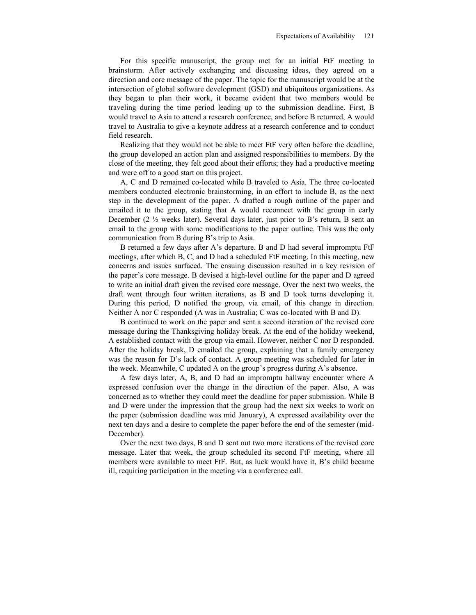For this specific manuscript, the group met for an initial FtF meeting to brainstorm. After actively exchanging and discussing ideas, they agreed on a direction and core message of the paper. The topic for the manuscript would be at the intersection of global software development (GSD) and ubiquitous organizations. As they began to plan their work, it became evident that two members would be traveling during the time period leading up to the submission deadline. First, B would travel to Asia to attend a research conference, and before B returned, A would travel to Australia to give a keynote address at a research conference and to conduct field research.

Realizing that they would not be able to meet FtF very often before the deadline, the group developed an action plan and assigned responsibilities to members. By the close of the meeting, they felt good about their efforts; they had a productive meeting and were off to a good start on this project.

A, C and D remained co-located while B traveled to Asia. The three co-located members conducted electronic brainstorming, in an effort to include B, as the next step in the development of the paper. A drafted a rough outline of the paper and emailed it to the group, stating that A would reconnect with the group in early December (2  $\frac{1}{2}$  weeks later). Several days later, just prior to B's return, B sent an email to the group with some modifications to the paper outline. This was the only communication from B during B's trip to Asia.

B returned a few days after A's departure. B and D had several impromptu FtF meetings, after which B, C, and D had a scheduled FtF meeting. In this meeting, new concerns and issues surfaced. The ensuing discussion resulted in a key revision of the paper's core message. B devised a high-level outline for the paper and D agreed to write an initial draft given the revised core message. Over the next two weeks, the draft went through four written iterations, as B and D took turns developing it. During this period, D notified the group, via email, of this change in direction. Neither A nor C responded (A was in Australia; C was co-located with B and D).

B continued to work on the paper and sent a second iteration of the revised core message during the Thanksgiving holiday break. At the end of the holiday weekend, A established contact with the group via email. However, neither C nor D responded. After the holiday break, D emailed the group, explaining that a family emergency was the reason for D's lack of contact. A group meeting was scheduled for later in the week. Meanwhile, C updated A on the group's progress during A's absence.

A few days later, A, B, and D had an impromptu hallway encounter where A expressed confusion over the change in the direction of the paper. Also, A was concerned as to whether they could meet the deadline for paper submission. While B and D were under the impression that the group had the next six weeks to work on the paper (submission deadline was mid January), A expressed availability over the next ten days and a desire to complete the paper before the end of the semester (mid-December).

Over the next two days, B and D sent out two more iterations of the revised core message. Later that week, the group scheduled its second FtF meeting, where all members were available to meet FtF. But, as luck would have it, B's child became ill, requiring participation in the meeting via a conference call.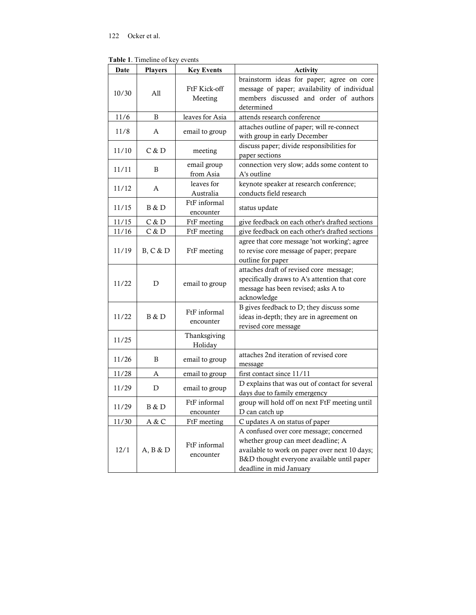**Table 1**. Timeline of key events

| Date  | <b>Players</b> | <b>Key Events</b>              | <b>Activity</b>                                                                                                                                                                                         |
|-------|----------------|--------------------------------|---------------------------------------------------------------------------------------------------------------------------------------------------------------------------------------------------------|
| 10/30 | A11            | <b>FtF Kick-off</b><br>Meeting | brainstorm ideas for paper; agree on core<br>message of paper; availability of individual<br>members discussed and order of authors<br>determined                                                       |
| 11/6  | B              | leaves for Asia                | attends research conference                                                                                                                                                                             |
| 11/8  | A              | email to group                 | attaches outline of paper; will re-connect<br>with group in early December                                                                                                                              |
| 11/10 | C & D          | meeting                        | discuss paper; divide responsibilities for<br>paper sections                                                                                                                                            |
| 11/11 | B              | email group<br>from Asia       | connection very slow; adds some content to<br>A's outline                                                                                                                                               |
| 11/12 | A              | leaves for<br>Australia        | keynote speaker at research conference;<br>conducts field research                                                                                                                                      |
| 11/15 | B & D          | FtF informal<br>encounter      | status update                                                                                                                                                                                           |
| 11/15 | C & D          | FtF meeting                    | give feedback on each other's drafted sections                                                                                                                                                          |
| 11/16 | C & D          | FtF meeting                    | give feedback on each other's drafted sections                                                                                                                                                          |
| 11/19 | B, C & D       | FtF meeting                    | agree that core message 'not working'; agree<br>to revise core message of paper; prepare<br>outline for paper                                                                                           |
| 11/22 | D              | email to group                 | attaches draft of revised core message;<br>specifically draws to A's attention that core<br>message has been revised; asks A to<br>acknowledge                                                          |
| 11/22 | B & D          | FtF informal<br>encounter      | B gives feedback to D; they discuss some<br>ideas in-depth; they are in agreement on<br>revised core message                                                                                            |
| 11/25 |                | Thanksgiving<br>Holiday        |                                                                                                                                                                                                         |
| 11/26 | B              | email to group                 | attaches 2nd iteration of revised core<br>message                                                                                                                                                       |
| 11/28 | A              | email to group                 | first contact since 11/11                                                                                                                                                                               |
| 11/29 | D              | email to group                 | D explains that was out of contact for several<br>days due to family emergency                                                                                                                          |
| 11/29 | B & D          | FtF informal<br>encounter      | group will hold off on next FtF meeting until<br>D can catch up                                                                                                                                         |
| 11/30 | A & C          | FtF meeting                    | C updates A on status of paper                                                                                                                                                                          |
| 12/1  | A, B & D       | FtF informal<br>encounter      | A confused over core message; concerned<br>whether group can meet deadline; A<br>available to work on paper over next 10 days;<br>B&D thought everyone available until paper<br>deadline in mid January |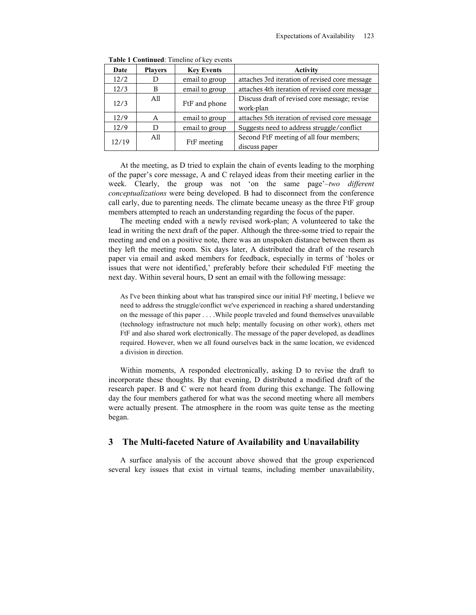| Date  | <b>Players</b> | <b>Key Events</b> | <b>Activity</b>                                            |
|-------|----------------|-------------------|------------------------------------------------------------|
| 12/2  | D              | email to group    | attaches 3rd iteration of revised core message             |
| 12/3  | B              | email to group    | attaches 4th iteration of revised core message             |
| 12/3  | A11            | FtF and phone     | Discuss draft of revised core message; revise<br>work-plan |
| 12/9  | A              | email to group    | attaches 5th iteration of revised core message             |
| 12/9  |                | email to group    | Suggests need to address struggle/conflict                 |
| 12/19 | A11            | FtF meeting       | Second FtF meeting of all four members;<br>discuss paper   |

**Table 1 Continued**: Timeline of key events

At the meeting, as D tried to explain the chain of events leading to the morphing of the paper's core message, A and C relayed ideas from their meeting earlier in the week. Clearly, the group was not 'on the same page'–*two different conceptualizations* were being developed. B had to disconnect from the conference call early, due to parenting needs. The climate became uneasy as the three FtF group members attempted to reach an understanding regarding the focus of the paper.

The meeting ended with a newly revised work-plan; A volunteered to take the lead in writing the next draft of the paper. Although the three-some tried to repair the meeting and end on a positive note, there was an unspoken distance between them as they left the meeting room. Six days later, A distributed the draft of the research paper via email and asked members for feedback, especially in terms of 'holes or issues that were not identified,' preferably before their scheduled FtF meeting the next day. Within several hours, D sent an email with the following message:

As I've been thinking about what has transpired since our initial FtF meeting, I believe we need to address the struggle/conflict we've experienced in reaching a shared understanding on the message of this paper . . . .While people traveled and found themselves unavailable (technology infrastructure not much help; mentally focusing on other work), others met FtF and also shared work electronically. The message of the paper developed, as deadlines required. However, when we all found ourselves back in the same location, we evidenced a division in direction.

Within moments, A responded electronically, asking D to revise the draft to incorporate these thoughts. By that evening, D distributed a modified draft of the research paper. B and C were not heard from during this exchange. The following day the four members gathered for what was the second meeting where all members were actually present. The atmosphere in the room was quite tense as the meeting began.

# **3 The Multi-faceted Nature of Availability and Unavailability**

A surface analysis of the account above showed that the group experienced several key issues that exist in virtual teams, including member unavailability,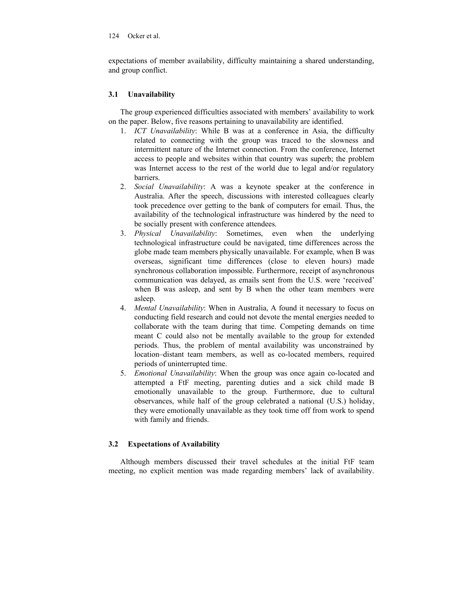#### 124 Ocker et al.

expectations of member availability, difficulty maintaining a shared understanding, and group conflict.

#### **3.1 Unavailability**

The group experienced difficulties associated with members' availability to work on the paper. Below, five reasons pertaining to unavailability are identified.

- 1. *ICT Unavailability*: While B was at a conference in Asia, the difficulty related to connecting with the group was traced to the slowness and intermittent nature of the Internet connection. From the conference, Internet access to people and websites within that country was superb; the problem was Internet access to the rest of the world due to legal and/or regulatory barriers.
- 2. *Social Unavailability*: A was a keynote speaker at the conference in Australia. After the speech, discussions with interested colleagues clearly took precedence over getting to the bank of computers for email. Thus, the availability of the technological infrastructure was hindered by the need to be socially present with conference attendees.
- 3. *Physical Unavailability*: Sometimes, even when the underlying technological infrastructure could be navigated, time differences across the globe made team members physically unavailable. For example, when B was overseas, significant time differences (close to eleven hours) made synchronous collaboration impossible. Furthermore, receipt of asynchronous communication was delayed, as emails sent from the U.S. were 'received' when B was asleep, and sent by B when the other team members were asleep.
- 4. *Mental Unavailability*: When in Australia, A found it necessary to focus on conducting field research and could not devote the mental energies needed to collaborate with the team during that time. Competing demands on time meant C could also not be mentally available to the group for extended periods. Thus, the problem of mental availability was unconstrained by location–distant team members, as well as co-located members, required periods of uninterrupted time.
- 5. *Emotional Unavailability*: When the group was once again co-located and attempted a FtF meeting, parenting duties and a sick child made B emotionally unavailable to the group. Furthermore, due to cultural observances, while half of the group celebrated a national (U.S.) holiday, they were emotionally unavailable as they took time off from work to spend with family and friends.

## **3.2 Expectations of Availability**

Although members discussed their travel schedules at the initial FtF team meeting, no explicit mention was made regarding members' lack of availability.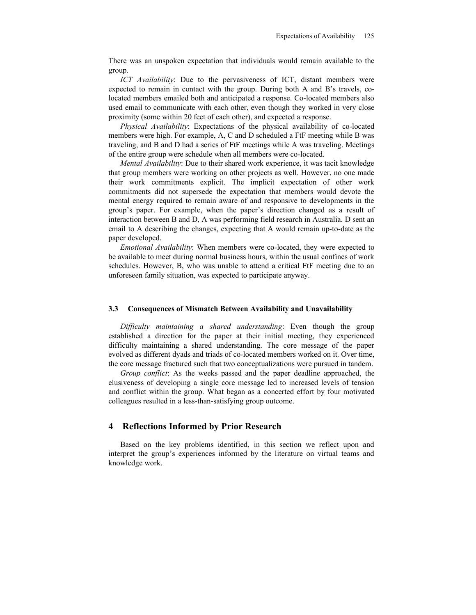There was an unspoken expectation that individuals would remain available to the group.

*ICT Availability*: Due to the pervasiveness of ICT, distant members were expected to remain in contact with the group. During both A and B's travels, colocated members emailed both and anticipated a response. Co-located members also used email to communicate with each other, even though they worked in very close proximity (some within 20 feet of each other), and expected a response.

*Physical Availability*: Expectations of the physical availability of co-located members were high. For example, A, C and D scheduled a FtF meeting while B was traveling, and B and D had a series of FtF meetings while A was traveling. Meetings of the entire group were schedule when all members were co-located.

*Mental Availability*: Due to their shared work experience, it was tacit knowledge that group members were working on other projects as well. However, no one made their work commitments explicit. The implicit expectation of other work commitments did not supersede the expectation that members would devote the mental energy required to remain aware of and responsive to developments in the group's paper. For example, when the paper's direction changed as a result of interaction between B and D, A was performing field research in Australia. D sent an email to A describing the changes, expecting that A would remain up-to-date as the paper developed.

*Emotional Availability*: When members were co-located, they were expected to be available to meet during normal business hours, within the usual confines of work schedules. However, B, who was unable to attend a critical FtF meeting due to an unforeseen family situation, was expected to participate anyway.

#### **3.3 Consequences of Mismatch Between Availability and Unavailability**

*Difficulty maintaining a shared understanding*: Even though the group established a direction for the paper at their initial meeting, they experienced difficulty maintaining a shared understanding. The core message of the paper evolved as different dyads and triads of co-located members worked on it. Over time, the core message fractured such that two conceptualizations were pursued in tandem.

*Group conflict*: As the weeks passed and the paper deadline approached, the elusiveness of developing a single core message led to increased levels of tension and conflict within the group. What began as a concerted effort by four motivated colleagues resulted in a less-than-satisfying group outcome.

## **4 Reflections Informed by Prior Research**

Based on the key problems identified, in this section we reflect upon and interpret the group's experiences informed by the literature on virtual teams and knowledge work.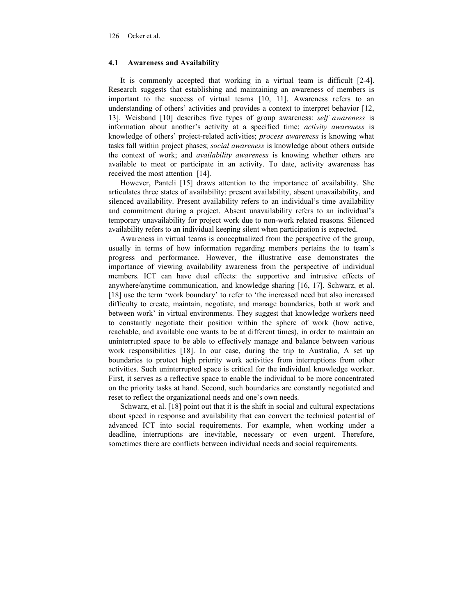#### **4.1 Awareness and Availability**

It is commonly accepted that working in a virtual team is difficult [2-4]. Research suggests that establishing and maintaining an awareness of members is important to the success of virtual teams [10, 11]. Awareness refers to an understanding of others' activities and provides a context to interpret behavior [12, 13]. Weisband [10] describes five types of group awareness: *self awareness* is information about another's activity at a specified time; *activity awareness* is knowledge of others' project-related activities; *process awareness* is knowing what tasks fall within project phases; *social awareness* is knowledge about others outside the context of work; and *availability awareness* is knowing whether others are available to meet or participate in an activity. To date, activity awareness has received the most attention [14].

However, Panteli [15] draws attention to the importance of availability. She articulates three states of availability: present availability, absent unavailability, and silenced availability. Present availability refers to an individual's time availability and commitment during a project. Absent unavailability refers to an individual's temporary unavailability for project work due to non-work related reasons. Silenced availability refers to an individual keeping silent when participation is expected.

Awareness in virtual teams is conceptualized from the perspective of the group, usually in terms of how information regarding members pertains the to team's progress and performance. However, the illustrative case demonstrates the importance of viewing availability awareness from the perspective of individual members. ICT can have dual effects: the supportive and intrusive effects of anywhere/anytime communication, and knowledge sharing [16, 17]. Schwarz, et al. [18] use the term 'work boundary' to refer to 'the increased need but also increased difficulty to create, maintain, negotiate, and manage boundaries, both at work and between work' in virtual environments. They suggest that knowledge workers need to constantly negotiate their position within the sphere of work (how active, reachable, and available one wants to be at different times), in order to maintain an uninterrupted space to be able to effectively manage and balance between various work responsibilities [18]. In our case, during the trip to Australia, A set up boundaries to protect high priority work activities from interruptions from other activities. Such uninterrupted space is critical for the individual knowledge worker. First, it serves as a reflective space to enable the individual to be more concentrated on the priority tasks at hand. Second, such boundaries are constantly negotiated and reset to reflect the organizational needs and one's own needs.

Schwarz, et al. [18] point out that it is the shift in social and cultural expectations about speed in response and availability that can convert the technical potential of advanced ICT into social requirements. For example, when working under a deadline, interruptions are inevitable, necessary or even urgent. Therefore, sometimes there are conflicts between individual needs and social requirements.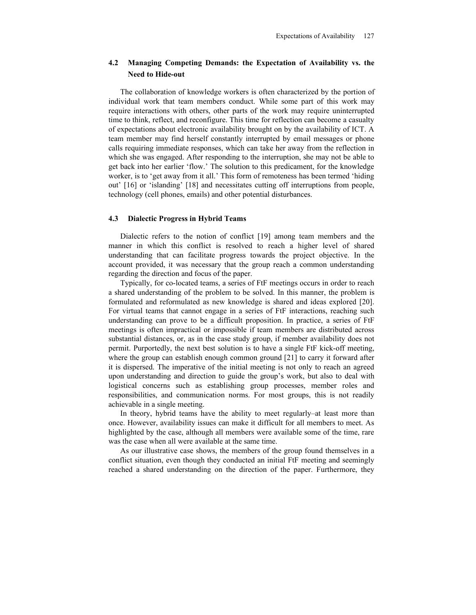# **4.2 Managing Competing Demands: the Expectation of Availability vs. the Need to Hide-out**

The collaboration of knowledge workers is often characterized by the portion of individual work that team members conduct. While some part of this work may require interactions with others, other parts of the work may require uninterrupted time to think, reflect, and reconfigure. This time for reflection can become a casualty of expectations about electronic availability brought on by the availability of ICT. A team member may find herself constantly interrupted by email messages or phone calls requiring immediate responses, which can take her away from the reflection in which she was engaged. After responding to the interruption, she may not be able to get back into her earlier 'flow.' The solution to this predicament, for the knowledge worker, is to 'get away from it all.' This form of remoteness has been termed 'hiding out' [16] or 'islanding' [18] and necessitates cutting off interruptions from people, technology (cell phones, emails) and other potential disturbances.

#### **4.3 Dialectic Progress in Hybrid Teams**

Dialectic refers to the notion of conflict [19] among team members and the manner in which this conflict is resolved to reach a higher level of shared understanding that can facilitate progress towards the project objective. In the account provided, it was necessary that the group reach a common understanding regarding the direction and focus of the paper.

Typically, for co-located teams, a series of FtF meetings occurs in order to reach a shared understanding of the problem to be solved. In this manner, the problem is formulated and reformulated as new knowledge is shared and ideas explored [20]. For virtual teams that cannot engage in a series of FtF interactions, reaching such understanding can prove to be a difficult proposition. In practice, a series of FtF meetings is often impractical or impossible if team members are distributed across substantial distances, or, as in the case study group, if member availability does not permit. Purportedly, the next best solution is to have a single FtF kick-off meeting, where the group can establish enough common ground [21] to carry it forward after it is dispersed. The imperative of the initial meeting is not only to reach an agreed upon understanding and direction to guide the group's work, but also to deal with logistical concerns such as establishing group processes, member roles and responsibilities, and communication norms. For most groups, this is not readily achievable in a single meeting.

In theory, hybrid teams have the ability to meet regularly–at least more than once. However, availability issues can make it difficult for all members to meet. As highlighted by the case, although all members were available some of the time, rare was the case when all were available at the same time.

As our illustrative case shows, the members of the group found themselves in a conflict situation, even though they conducted an initial FtF meeting and seemingly reached a shared understanding on the direction of the paper. Furthermore, they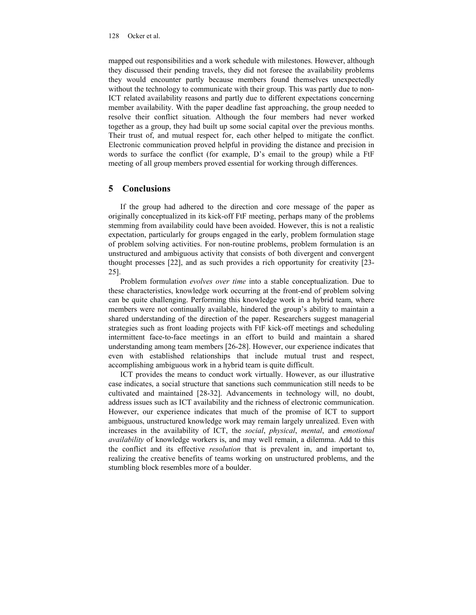mapped out responsibilities and a work schedule with milestones. However, although they discussed their pending travels, they did not foresee the availability problems they would encounter partly because members found themselves unexpectedly without the technology to communicate with their group. This was partly due to non-ICT related availability reasons and partly due to different expectations concerning member availability. With the paper deadline fast approaching, the group needed to resolve their conflict situation. Although the four members had never worked together as a group, they had built up some social capital over the previous months. Their trust of, and mutual respect for, each other helped to mitigate the conflict. Electronic communication proved helpful in providing the distance and precision in words to surface the conflict (for example, D's email to the group) while a FtF meeting of all group members proved essential for working through differences.

## **5 Conclusions**

If the group had adhered to the direction and core message of the paper as originally conceptualized in its kick-off FtF meeting, perhaps many of the problems stemming from availability could have been avoided. However, this is not a realistic expectation, particularly for groups engaged in the early, problem formulation stage of problem solving activities. For non-routine problems, problem formulation is an unstructured and ambiguous activity that consists of both divergent and convergent thought processes [22], and as such provides a rich opportunity for creativity [23- 25].

Problem formulation *evolves over time* into a stable conceptualization. Due to these characteristics, knowledge work occurring at the front-end of problem solving can be quite challenging. Performing this knowledge work in a hybrid team, where members were not continually available, hindered the group's ability to maintain a shared understanding of the direction of the paper. Researchers suggest managerial strategies such as front loading projects with FtF kick-off meetings and scheduling intermittent face-to-face meetings in an effort to build and maintain a shared understanding among team members [26-28]. However, our experience indicates that even with established relationships that include mutual trust and respect, accomplishing ambiguous work in a hybrid team is quite difficult.

ICT provides the means to conduct work virtually. However, as our illustrative case indicates, a social structure that sanctions such communication still needs to be cultivated and maintained [28-32]. Advancements in technology will, no doubt, address issues such as ICT availability and the richness of electronic communication. However, our experience indicates that much of the promise of ICT to support ambiguous, unstructured knowledge work may remain largely unrealized. Even with increases in the availability of ICT, the *social*, *physical*, *mental*, and *emotional availability* of knowledge workers is, and may well remain, a dilemma. Add to this the conflict and its effective *resolution* that is prevalent in, and important to, realizing the creative benefits of teams working on unstructured problems, and the stumbling block resembles more of a boulder.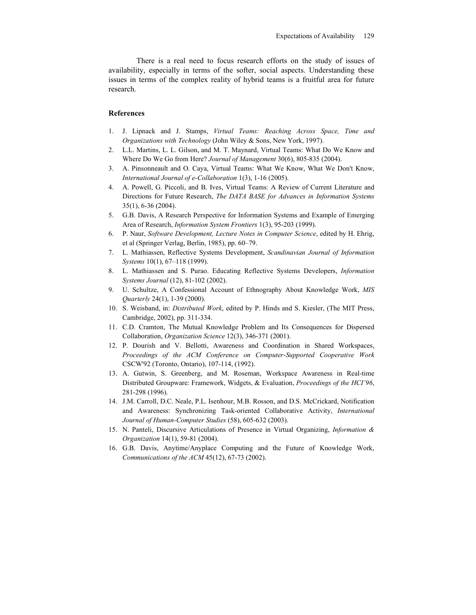There is a real need to focus research efforts on the study of issues of availability, especially in terms of the softer, social aspects. Understanding these issues in terms of the complex reality of hybrid teams is a fruitful area for future research.

## **References**

- 1. J. Lipnack and J. Stamps, *Virtual Teams: Reaching Across Space, Time and Organizations with Technology* (John Wiley & Sons, New York, 1997).
- 2. L.L. Martins, L. L. Gilson, and M. T. Maynard, Virtual Teams: What Do We Know and Where Do We Go from Here? *Journal of Management* 30(6), 805-835 (2004).
- 3. A. Pinsonneault and O. Caya, Virtual Teams: What We Know, What We Don't Know, *International Journal of e-Collaboration* 1(3), 1-16 (2005).
- 4. A. Powell, G. Piccoli, and B. Ives, Virtual Teams: A Review of Current Literature and Directions for Future Research, *The DATA BASE for Advances in Information Systems* 35(1), 6-36 (2004).
- 5. G.B. Davis, A Research Perspective for Information Systems and Example of Emerging Area of Research, *Information System Frontiers* 1(3), 95-203 (1999).
- 6. P. Naur, *Software Development, Lecture Notes in Computer Science*, edited by H. Ehrig, et al (Springer Verlag, Berlin, 1985), pp. 60–79.
- 7. L. Mathiassen, Reflective Systems Development, *Scandinavian Journal of Information Systems* 10(1), 67–118 (1999).
- 8. L. Mathiassen and S. Purao. Educating Reflective Systems Developers, *Information Systems Journal* (12), 81-102 (2002).
- 9. U. Schultze, A Confessional Account of Ethnography About Knowledge Work, *MIS Quarterly* 24(1), 1-39 (2000).
- 10. S. Weisband, in: *Distributed Work*, edited by P. Hinds and S. Kiesler, (The MIT Press, Cambridge, 2002), pp. 311-334.
- 11. C.D. Cramton, The Mutual Knowledge Problem and Its Consequences for Dispersed Collaboration, *Organization Science* 12(3), 346-371 (2001).
- 12. P. Dourish and V. Bellotti, Awareness and Coordination in Shared Workspaces, *Proceedings of the ACM Conference on Computer-Supported Cooperative Work* CSCW'92 (Toronto, Ontario), 107-114, (1992).
- 13. A. Gutwin, S. Greenberg, and M. Roseman, Workspace Awareness in Real-time Distributed Groupware: Framework, Widgets, & Evaluation, *Proceedings of the HCI'96*, 281-298 (1996).
- 14. J.M. Carroll, D.C. Neale, P.L. Isenhour, M.B. Rosson, and D.S. McCrickard, Notification and Awareness: Synchronizing Task-oriented Collaborative Activity, *International Journal of Human-Computer Studies* (58), 605-632 (2003).
- 15. N. Panteli, Discursive Articulations of Presence in Virtual Organizing, *Information & Organization* 14(1), 59-81 (2004).
- 16. G.B. Davis, Anytime/Anyplace Computing and the Future of Knowledge Work, *Communications of the ACM* 45(12), 67-73 (2002).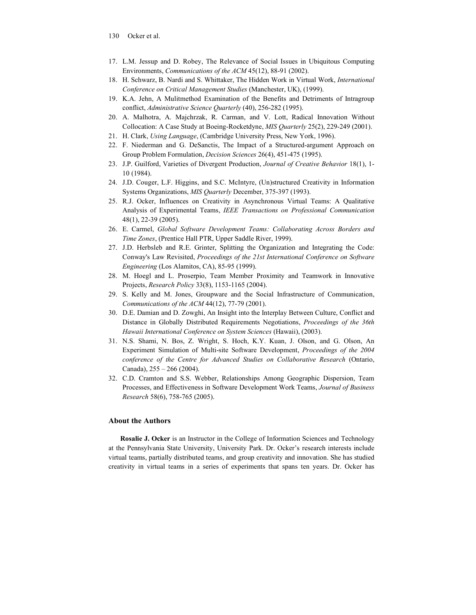- 130 Ocker et al.
- 17. L.M. Jessup and D. Robey, The Relevance of Social Issues in Ubiquitous Computing Environments, *Communications of the ACM* 45(12), 88-91 (2002).
- 18. H. Schwarz, B. Nardi and S. Whittaker, The Hidden Work in Virtual Work, *International Conference on Critical Management Studies* (Manchester, UK), (1999).
- 19. K.A. Jehn, A Mulitmethod Examination of the Benefits and Detriments of Intragroup conflict, *Administrative Science Quarterly* (40), 256-282 (1995).
- 20. A. Malhotra, A. Majchrzak, R. Carman, and V. Lott, Radical Innovation Without Collocation: A Case Study at Boeing-Rocketdyne, *MIS Quarterly* 25(2), 229-249 (2001).
- 21. H. Clark, *Using Language*, (Cambridge University Press, New York, 1996).
- 22. F. Niederman and G. DeSanctis, The Impact of a Structured-argument Approach on Group Problem Formulation, *Decision Sciences* 26(4), 451-475 (1995).
- 23. J.P. Guilford, Varieties of Divergent Production, *Journal of Creative Behavior* 18(1), 1- 10 (1984).
- 24. J.D. Couger, L.F. Higgins, and S.C. McIntyre, (Un)structured Creativity in Information Systems Organizations, *MIS Quarterly* December, 375-397 (1993).
- 25. R.J. Ocker, Influences on Creativity in Asynchronous Virtual Teams: A Qualitative Analysis of Experimental Teams, *IEEE Transactions on Professional Communication* 48(1), 22-39 (2005).
- 26. E. Carmel, *Global Software Development Teams: Collaborating Across Borders and Time Zones*, (Prentice Hall PTR, Upper Saddle River, 1999).
- 27. J.D. Herbsleb and R.E. Grinter, Splitting the Organization and Integrating the Code: Conway's Law Revisited, *Proceedings of the 21st International Conference on Software Engineering* (Los Alamitos, CA), 85-95 (1999).
- 28. M. Hoegl and L. Proserpio, Team Member Proximity and Teamwork in Innovative Projects, *Research Policy* 33(8), 1153-1165 (2004).
- 29. S. Kelly and M. Jones, Groupware and the Social Infrastructure of Communication, *Communications of the ACM* 44(12), 77-79 (2001).
- 30. D.E. Damian and D. Zowghi, An Insight into the Interplay Between Culture, Conflict and Distance in Globally Distributed Requirements Negotiations, *Proceedings of the 36th Hawaii International Conference on System Sciences* (Hawaii), (2003).
- 31. N.S. Shami, N. Bos, Z. Wright, S. Hoch, K.Y. Kuan, J. Olson, and G. Olson, An Experiment Simulation of Multi-site Software Development, *Proceedings of the 2004 conference of the Centre for Advanced Studies on Collaborative Research* (Ontario, Canada), 255 – 266 (2004).
- 32. C.D. Cramton and S.S. Webber, Relationships Among Geographic Dispersion, Team Processes, and Effectiveness in Software Development Work Teams, *Journal of Business Research* 58(6), 758-765 (2005).

#### **About the Authors**

**Rosalie J. Ocker** is an Instructor in the College of Information Sciences and Technology at the Pennsylvania State University, University Park. Dr. Ocker's research interests include virtual teams, partially distributed teams, and group creativity and innovation. She has studied creativity in virtual teams in a series of experiments that spans ten years. Dr. Ocker has